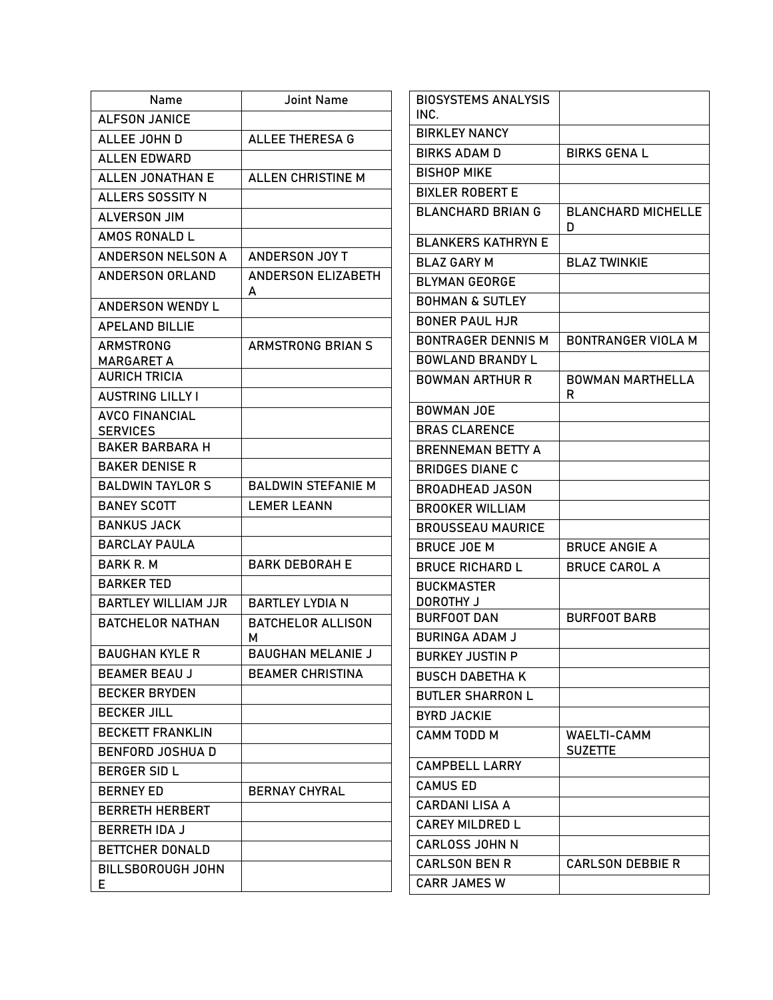| Name                                      | <b>Joint Name</b>             | <b>BIOSYSTEMS ANALYSIS</b>      |                           |
|-------------------------------------------|-------------------------------|---------------------------------|---------------------------|
| <b>ALFSON JANICE</b>                      |                               | INC.                            |                           |
| ALLEE JOHN D                              | <b>ALLEE THERESA G</b>        | <b>BIRKLEY NANCY</b>            |                           |
| <b>ALLEN EDWARD</b>                       |                               | <b>BIRKS ADAM D</b>             | <b>BIRKS GENA L</b>       |
| <b>ALLEN JONATHAN E</b>                   | ALLEN CHRISTINE M             | <b>BISHOP MIKE</b>              |                           |
| ALLERS SOSSITY N                          |                               | <b>BIXLER ROBERT E</b>          |                           |
| <b>ALVERSON JIM</b>                       |                               | <b>BLANCHARD BRIAN G</b>        | <b>BLANCHARD MICHELLE</b> |
| AMOS RONALD L                             |                               | <b>BLANKERS KATHRYN E</b>       | D                         |
| ANDERSON NELSON A                         | ANDERSON JOY T                | <b>BLAZ GARY M</b>              | <b>BLAZ TWINKIE</b>       |
| <b>ANDERSON ORLAND</b>                    | <b>ANDERSON ELIZABETH</b>     | <b>BLYMAN GEORGE</b>            |                           |
| ANDERSON WENDY L                          | A                             | <b>BOHMAN &amp; SUTLEY</b>      |                           |
| <b>APELAND BILLIE</b>                     |                               | <b>BONER PAUL HJR</b>           |                           |
| <b>ARMSTRONG</b>                          | <b>ARMSTRONG BRIAN S</b>      | <b>BONTRAGER DENNIS M</b>       | <b>BONTRANGER VIOLA M</b> |
| <b>MARGARET A</b>                         |                               | <b>BOWLAND BRANDY L</b>         |                           |
| <b>AURICH TRICIA</b>                      |                               | <b>BOWMAN ARTHUR R</b>          | <b>BOWMAN MARTHELLA</b>   |
| <b>AUSTRING LILLY I</b>                   |                               |                                 | R                         |
| <b>AVCO FINANCIAL</b>                     |                               | <b>BOWMAN JOE</b>               |                           |
| <b>SERVICES</b><br><b>BAKER BARBARA H</b> |                               | <b>BRAS CLARENCE</b>            |                           |
| <b>BAKER DENISE R</b>                     |                               | <b>BRENNEMAN BETTY A</b>        |                           |
|                                           |                               | <b>BRIDGES DIANE C</b>          |                           |
| <b>BALDWIN TAYLOR S</b>                   | <b>BALDWIN STEFANIE M</b>     | <b>BROADHEAD JASON</b>          |                           |
| <b>BANEY SCOTT</b>                        | <b>LEMER LEANN</b>            | <b>BROOKER WILLIAM</b>          |                           |
| <b>BANKUS JACK</b>                        |                               | <b>BROUSSEAU MAURICE</b>        |                           |
| <b>BARCLAY PAULA</b>                      |                               | <b>BRUCE JOE M</b>              | <b>BRUCE ANGIE A</b>      |
| <b>BARK R. M</b>                          | <b>BARK DEBORAH E</b>         | <b>BRUCE RICHARD L</b>          | <b>BRUCE CAROL A</b>      |
| <b>BARKER TED</b>                         |                               | <b>BUCKMASTER</b>               |                           |
| <b>BARTLEY WILLIAM JJR</b>                | <b>BARTLEY LYDIA N</b>        | DOROTHY J<br><b>BURFOOT DAN</b> | <b>BURFOOT BARB</b>       |
| <b>BATCHELOR NATHAN</b>                   | <b>BATCHELOR ALLISON</b><br>м | <b>BURINGA ADAM J</b>           |                           |
| <b>BAUGHAN KYLE R</b>                     | <b>BAUGHAN MELANIE J</b>      | <b>BURKEY JUSTIN P</b>          |                           |
| <b>BEAMER BEAU J</b>                      | <b>BEAMER CHRISTINA</b>       | <b>BUSCH DABETHA K</b>          |                           |
| <b>BECKER BRYDEN</b>                      |                               | <b>BUTLER SHARRON L</b>         |                           |
| <b>BECKER JILL</b>                        |                               | <b>BYRD JACKIE</b>              |                           |
| <b>BECKETT FRANKLIN</b>                   |                               | <b>CAMM TODD M</b>              | WAELTI-CAMM               |
| <b>BENFORD JOSHUA D</b>                   |                               |                                 | <b>SUZETTE</b>            |
| <b>BERGER SID L</b>                       |                               | <b>CAMPBELL LARRY</b>           |                           |
| <b>BERNEY ED</b>                          | <b>BERNAY CHYRAL</b>          | <b>CAMUS ED</b>                 |                           |
| <b>BERRETH HERBERT</b>                    |                               | <b>CARDANI LISA A</b>           |                           |
| <b>BERRETH IDA J</b>                      |                               | <b>CAREY MILDRED L</b>          |                           |
| BETTCHER DONALD                           |                               | <b>CARLOSS JOHN N</b>           |                           |
| BILLSBOROUGH JOHN                         |                               | <b>CARLSON BEN R</b>            | <b>CARLSON DEBBIE R</b>   |
| E.                                        |                               | <b>CARR JAMES W</b>             |                           |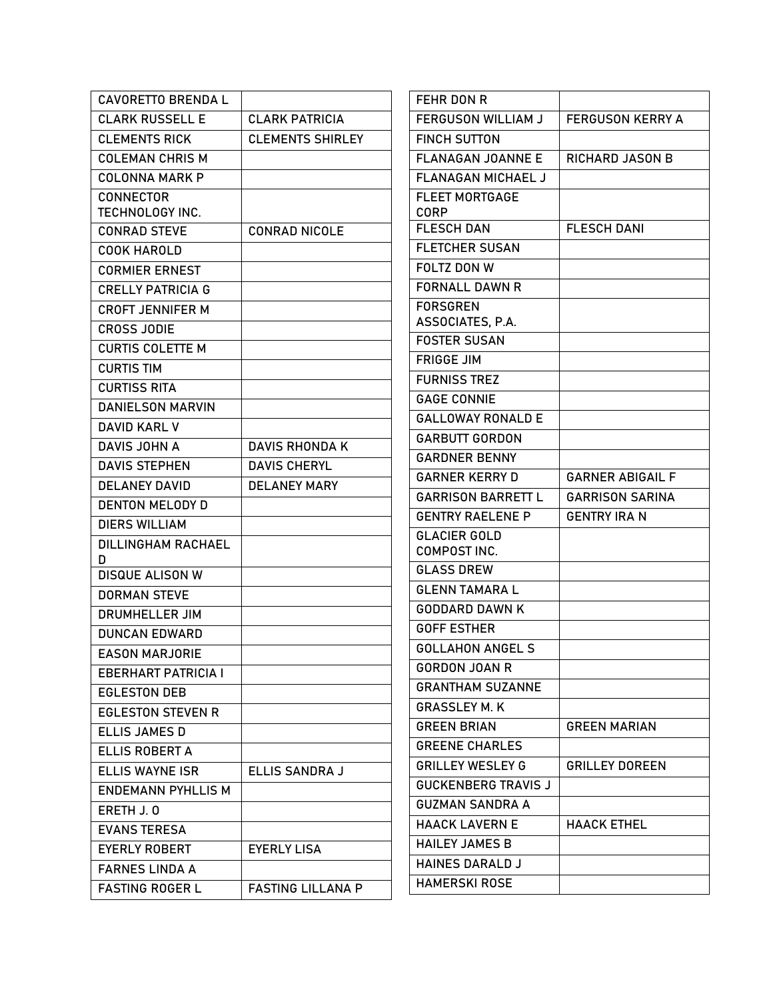| <b>CAVORETTO BRENDA L</b>           |                          | FEHR DON R                           |                         |
|-------------------------------------|--------------------------|--------------------------------------|-------------------------|
| <b>CLARK RUSSELL E</b>              | <b>CLARK PATRICIA</b>    | FERGUSON WILLIAM J                   | <b>FERGUSON KERRY A</b> |
| <b>CLEMENTS RICK</b>                | <b>CLEMENTS SHIRLEY</b>  | <b>FINCH SUTTON</b>                  |                         |
| <b>COLEMAN CHRIS M</b>              |                          | <b>FLANAGAN JOANNE E</b>             | <b>RICHARD JASON B</b>  |
| <b>COLONNA MARK P</b>               |                          | FLANAGAN MICHAEL J                   |                         |
| <b>CONNECTOR</b><br>TECHNOLOGY INC. |                          | <b>FLEET MORTGAGE</b><br><b>CORP</b> |                         |
| <b>CONRAD STEVE</b>                 | <b>CONRAD NICOLE</b>     | <b>FLESCH DAN</b>                    | <b>FLESCH DANI</b>      |
| <b>COOK HAROLD</b>                  |                          | <b>FLETCHER SUSAN</b>                |                         |
| <b>CORMIER ERNEST</b>               |                          | FOLTZ DON W                          |                         |
| <b>CRELLY PATRICIA G</b>            |                          | <b>FORNALL DAWN R</b>                |                         |
| <b>CROFT JENNIFER M</b>             |                          | <b>FORSGREN</b>                      |                         |
| <b>CROSS JODIE</b>                  |                          | ASSOCIATES, P.A.                     |                         |
| <b>CURTIS COLETTE M</b>             |                          | <b>FOSTER SUSAN</b>                  |                         |
| <b>CURTIS TIM</b>                   |                          | <b>FRIGGE JIM</b>                    |                         |
| <b>CURTISS RITA</b>                 |                          | <b>FURNISS TREZ</b>                  |                         |
| <b>DANIELSON MARVIN</b>             |                          | <b>GAGE CONNIE</b>                   |                         |
| <b>DAVID KARL V</b>                 |                          | <b>GALLOWAY RONALD E</b>             |                         |
| DAVIS JOHN A                        | <b>DAVIS RHONDA K</b>    | <b>GARBUTT GORDON</b>                |                         |
| <b>DAVIS STEPHEN</b>                | <b>DAVIS CHERYL</b>      | <b>GARDNER BENNY</b>                 |                         |
| <b>DELANEY DAVID</b>                | <b>DELANEY MARY</b>      | <b>GARNER KERRY D</b>                | <b>GARNER ABIGAIL F</b> |
| <b>DENTON MELODY D</b>              |                          | <b>GARRISON BARRETT L</b>            | <b>GARRISON SARINA</b>  |
| <b>DIERS WILLIAM</b>                |                          | <b>GENTRY RAELENE P</b>              | <b>GENTRY IRA N</b>     |
| <b>DILLINGHAM RACHAEL</b>           |                          | <b>GLACIER GOLD</b>                  |                         |
| D                                   |                          | COMPOST INC.                         |                         |
| <b>DISQUE ALISON W</b>              |                          | <b>GLASS DREW</b>                    |                         |
| <b>DORMAN STEVE</b>                 |                          | <b>GLENN TAMARA L</b>                |                         |
| <b>DRUMHELLER JIM</b>               |                          | <b>GODDARD DAWN K</b>                |                         |
| <b>DUNCAN EDWARD</b>                |                          | <b>GOFF ESTHER</b>                   |                         |
| <b>EASON MARJORIE</b>               |                          | <b>GOLLAHON ANGEL S</b>              |                         |
| <b>EBERHART PATRICIA I</b>          |                          | <b>GORDON JOAN R</b>                 |                         |
| <b>EGLESTON DEB</b>                 |                          | <b>GRANTHAM SUZANNE</b>              |                         |
| <b>EGLESTON STEVEN R</b>            |                          | <b>GRASSLEY M.K.</b>                 |                         |
| <b>ELLIS JAMES D</b>                |                          | <b>GREEN BRIAN</b>                   | <b>GREEN MARIAN</b>     |
| ELLIS ROBERT A                      |                          | <b>GREENE CHARLES</b>                |                         |
| <b>ELLIS WAYNE ISR</b>              | ELLIS SANDRA J           | <b>GRILLEY WESLEY G</b>              | <b>GRILLEY DOREEN</b>   |
| <b>ENDEMANN PYHLLIS M</b>           |                          | <b>GUCKENBERG TRAVIS J</b>           |                         |
| ERETH J.O                           |                          | <b>GUZMAN SANDRA A</b>               |                         |
| <b>EVANS TERESA</b>                 |                          | <b>HAACK LAVERN E</b>                | <b>HAACK ETHEL</b>      |
| <b>EYERLY ROBERT</b>                | <b>EYERLY LISA</b>       | <b>HAILEY JAMES B</b>                |                         |
| <b>FARNES LINDA A</b>               |                          | <b>HAINES DARALD J</b>               |                         |
| <b>FASTING ROGER L</b>              | <b>FASTING LILLANA P</b> | <b>HAMERSKI ROSE</b>                 |                         |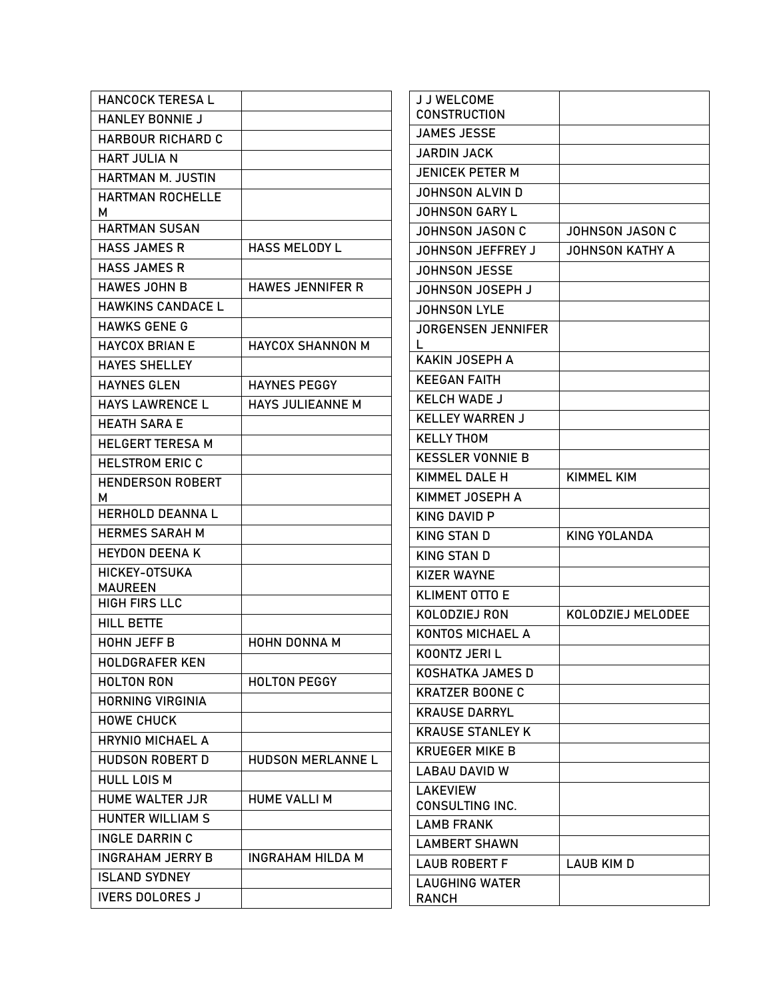| <b>HANCOCK TERESA L</b>                |                         | J J WELCOME               |                        |
|----------------------------------------|-------------------------|---------------------------|------------------------|
| <b>HANLEY BONNIE J</b>                 |                         | <b>CONSTRUCTION</b>       |                        |
| <b>HARBOUR RICHARD C</b>               |                         | <b>JAMES JESSE</b>        |                        |
| <b>HART JULIA N</b>                    |                         | <b>JARDIN JACK</b>        |                        |
| HARTMAN M. JUSTIN                      |                         | <b>JENICEK PETER M</b>    |                        |
| <b>HARTMAN ROCHELLE</b>                |                         | <b>JOHNSON ALVIN D</b>    |                        |
| м                                      |                         | <b>JOHNSON GARY L</b>     |                        |
| <b>HARTMAN SUSAN</b>                   |                         | <b>JOHNSON JASON C</b>    | <b>JOHNSON JASON C</b> |
| <b>HASS JAMES R</b>                    | <b>HASS MELODY L</b>    | JOHNSON JEFFREY J         | <b>JOHNSON KATHY A</b> |
| <b>HASS JAMES R</b>                    |                         | <b>JOHNSON JESSE</b>      |                        |
| <b>HAWES JOHN B</b>                    | <b>HAWES JENNIFER R</b> | JOHNSON JOSEPH J          |                        |
| <b>HAWKINS CANDACE L</b>               |                         | <b>JOHNSON LYLE</b>       |                        |
| <b>HAWKS GENE G</b>                    |                         | <b>JORGENSEN JENNIFER</b> |                        |
| <b>HAYCOX BRIAN E</b>                  | <b>HAYCOX SHANNON M</b> |                           |                        |
| <b>HAYES SHELLEY</b>                   |                         | <b>KAKIN JOSEPH A</b>     |                        |
| <b>HAYNES GLEN</b>                     | <b>HAYNES PEGGY</b>     | <b>KEEGAN FAITH</b>       |                        |
| <b>HAYS LAWRENCE L</b>                 | HAYS JULIEANNE M        | <b>KELCH WADE J</b>       |                        |
| <b>HEATH SARA E</b>                    |                         | <b>KELLEY WARREN J</b>    |                        |
| <b>HELGERT TERESA M</b>                |                         | <b>KELLY THOM</b>         |                        |
| <b>HELSTROM ERIC C</b>                 |                         | <b>KESSLER VONNIE B</b>   |                        |
| <b>HENDERSON ROBERT</b>                |                         | KIMMEL DALE H             | <b>KIMMEL KIM</b>      |
| м                                      |                         | KIMMET JOSEPH A           |                        |
| <b>HERHOLD DEANNAL</b>                 |                         | <b>KING DAVID P</b>       |                        |
| <b>HERMES SARAH M</b>                  |                         | KING STAN D               | <b>KING YOLANDA</b>    |
| <b>HEYDON DEENA K</b>                  |                         | <b>KING STAN D</b>        |                        |
| HICKEY-OTSUKA                          |                         | <b>KIZER WAYNE</b>        |                        |
| <b>MAUREEN</b><br><b>HIGH FIRS LLC</b> |                         | <b>KLIMENT OTTO E</b>     |                        |
| <b>HILL BETTE</b>                      |                         | KOLODZIEJ RON             | KOLODZIEJ MELODEE      |
| HOHN JEFF B                            | HOHN DONNA M            | KONTOS MICHAEL A          |                        |
| <b>HOLDGRAFER KEN</b>                  |                         | KOONTZ JERI L             |                        |
| <b>HOLTON RON</b>                      | <b>HOLTON PEGGY</b>     | <b>KOSHATKA JAMES D</b>   |                        |
| <b>HORNING VIRGINIA</b>                |                         | <b>KRATZER BOONE C</b>    |                        |
| <b>HOWE CHUCK</b>                      |                         | <b>KRAUSE DARRYL</b>      |                        |
| <b>HRYNIO MICHAEL A</b>                |                         | <b>KRAUSE STANLEY K</b>   |                        |
|                                        |                         | <b>KRUEGER MIKE B</b>     |                        |
| <b>HUDSON ROBERT D</b>                 | HUDSON MERLANNE L       | <b>LABAU DAVID W</b>      |                        |
| <b>HULL LOIS M</b>                     |                         | <b>LAKEVIEW</b>           |                        |
| HUME WALTER JJR                        | <b>HUME VALLI M</b>     | <b>CONSULTING INC.</b>    |                        |
| HUNTER WILLIAM S                       |                         | <b>LAMB FRANK</b>         |                        |
| <b>INGLE DARRIN C</b>                  |                         | <b>LAMBERT SHAWN</b>      |                        |
| <b>INGRAHAM JERRY B</b>                | <b>INGRAHAM HILDA M</b> | <b>LAUB ROBERT F</b>      | LAUB KIM D             |
| <b>ISLAND SYDNEY</b>                   |                         | <b>LAUGHING WATER</b>     |                        |
| <b>IVERS DOLORES J</b>                 |                         | RANCH                     |                        |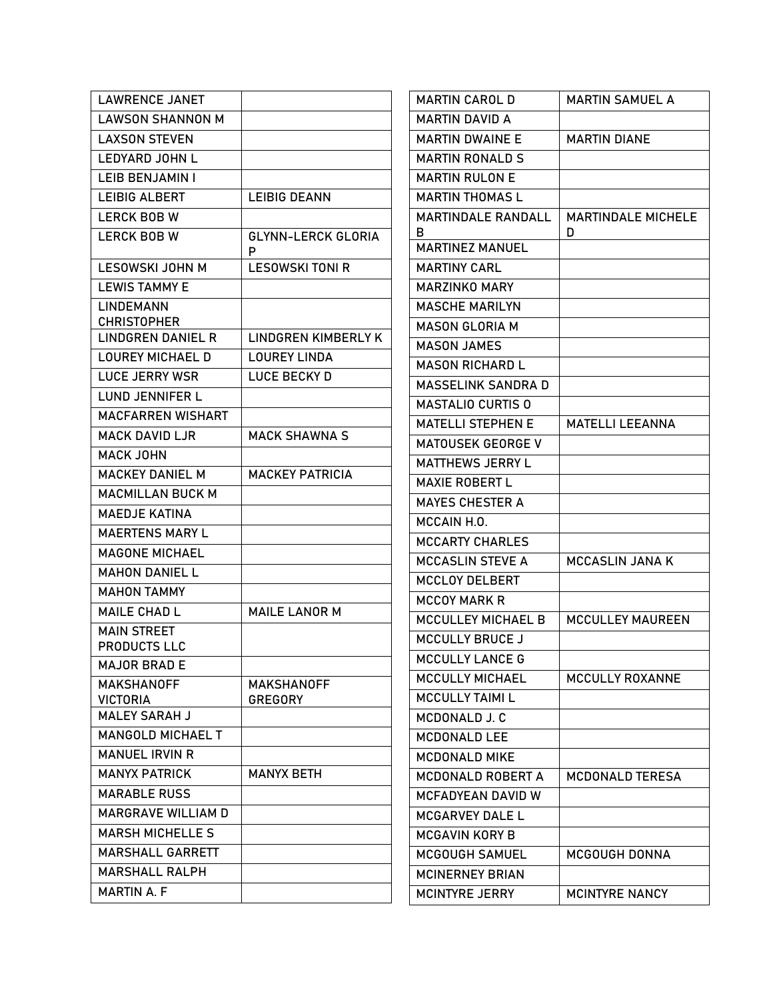| <b>LAWRENCE JANET</b>                    |                                     | <b>MARTIN CAROL D</b>                         | <b>MARTIN SAMUEL A</b>    |
|------------------------------------------|-------------------------------------|-----------------------------------------------|---------------------------|
| <b>LAWSON SHANNON M</b>                  |                                     | <b>MARTIN DAVID A</b>                         |                           |
| <b>LAXSON STEVEN</b>                     |                                     | <b>MARTIN DWAINE E</b>                        | <b>MARTIN DIANE</b>       |
| <b>LEDYARD JOHN L</b>                    |                                     | <b>MARTIN RONALD S</b>                        |                           |
| LEIB BENJAMIN I                          |                                     | <b>MARTIN RULON E</b>                         |                           |
| <b>LEIBIG ALBERT</b>                     | <b>LEIBIG DEANN</b>                 | <b>MARTIN THOMAS L</b>                        |                           |
| <b>LERCK BOB W</b>                       |                                     | <b>MARTINDALE RANDALL</b>                     | <b>MARTINDALE MICHELE</b> |
| <b>LERCK BOB W</b>                       | <b>GLYNN-LERCK GLORIA</b>           | в                                             | D                         |
|                                          | P                                   | <b>MARTINEZ MANUEL</b>                        |                           |
| LESOWSKI JOHN M                          | <b>LESOWSKI TONI R</b>              | <b>MARTINY CARL</b>                           |                           |
| <b>LEWIS TAMMY E</b><br><b>LINDEMANN</b> |                                     | <b>MARZINKO MARY</b><br><b>MASCHE MARILYN</b> |                           |
| <b>CHRISTOPHER</b>                       |                                     |                                               |                           |
| LINDGREN DANIEL R                        | <b>LINDGREN KIMBERLY K</b>          | <b>MASON GLORIA M</b><br><b>MASON JAMES</b>   |                           |
| <b>LOUREY MICHAEL D</b>                  | <b>LOUREY LINDA</b>                 | <b>MASON RICHARD L</b>                        |                           |
| <b>LUCE JERRY WSR</b>                    | LUCE BECKY D                        | <b>MASSELINK SANDRA D</b>                     |                           |
| <b>LUND JENNIFER L</b>                   |                                     | <b>MASTALIO CURTIS O</b>                      |                           |
| <b>MACFARREN WISHART</b>                 |                                     | <b>MATELLI STEPHEN E</b>                      | <b>MATELLI LEEANNA</b>    |
| <b>MACK DAVID LJR</b>                    | <b>MACK SHAWNA S</b>                | <b>MATOUSEK GEORGE V</b>                      |                           |
| <b>MACK JOHN</b>                         |                                     | <b>MATTHEWS JERRY L</b>                       |                           |
| <b>MACKEY DANIEL M</b>                   | <b>MACKEY PATRICIA</b>              | <b>MAXIE ROBERT L</b>                         |                           |
| <b>MACMILLAN BUCK M</b>                  |                                     | <b>MAYES CHESTER A</b>                        |                           |
| <b>MAEDJE KATINA</b>                     |                                     | MCCAIN H.O.                                   |                           |
| <b>MAERTENS MARY L</b>                   |                                     | <b>MCCARTY CHARLES</b>                        |                           |
| <b>MAGONE MICHAEL</b>                    |                                     | <b>MCCASLIN STEVE A</b>                       | MCCASLIN JANA K           |
| <b>MAHON DANIEL L</b>                    |                                     | <b>MCCLOY DELBERT</b>                         |                           |
| <b>MAHON TAMMY</b>                       |                                     | <b>MCCOY MARK R</b>                           |                           |
| <b>MAILE CHAD L</b>                      | <b>MAILE LANOR M</b>                | MCCULLEY MICHAEL B                            | <b>MCCULLEY MAUREEN</b>   |
| <b>MAIN STREET</b>                       |                                     | <b>MCCULLY BRUCE J</b>                        |                           |
| <b>PRODUCTS LLC</b>                      |                                     | <b>MCCULLY LANCE G</b>                        |                           |
| <b>MAJOR BRAD E</b>                      |                                     | <b>MCCULLY MICHAEL</b>                        | MCCULLY ROXANNE           |
| <b>MAKSHANOFF</b><br><b>VICTORIA</b>     | <b>MAKSHANOFF</b><br><b>GREGORY</b> | <b>MCCULLY TAIMIL</b>                         |                           |
| <b>MALEY SARAH J</b>                     |                                     | MCDONALD J. C                                 |                           |
| <b>MANGOLD MICHAEL T</b>                 |                                     | <b>MCDONALD LEE</b>                           |                           |
| <b>MANUEL IRVIN R</b>                    |                                     | <b>MCDONALD MIKE</b>                          |                           |
| <b>MANYX PATRICK</b>                     | <b>MANYX BETH</b>                   | MCDONALD ROBERT A                             | <b>MCDONALD TERESA</b>    |
| <b>MARABLE RUSS</b>                      |                                     | <b>MCFADYEAN DAVID W</b>                      |                           |
| <b>MARGRAVE WILLIAM D</b>                |                                     | <b>MCGARVEY DALE L</b>                        |                           |
| <b>MARSH MICHELLE S</b>                  |                                     | <b>MCGAVIN KORY B</b>                         |                           |
| <b>MARSHALL GARRETT</b>                  |                                     | MCGOUGH SAMUEL                                | MCGOUGH DONNA             |
| <b>MARSHALL RALPH</b>                    |                                     | <b>MCINERNEY BRIAN</b>                        |                           |
| <b>MARTIN A. F</b>                       |                                     | <b>MCINTYRE JERRY</b>                         | <b>MCINTYRE NANCY</b>     |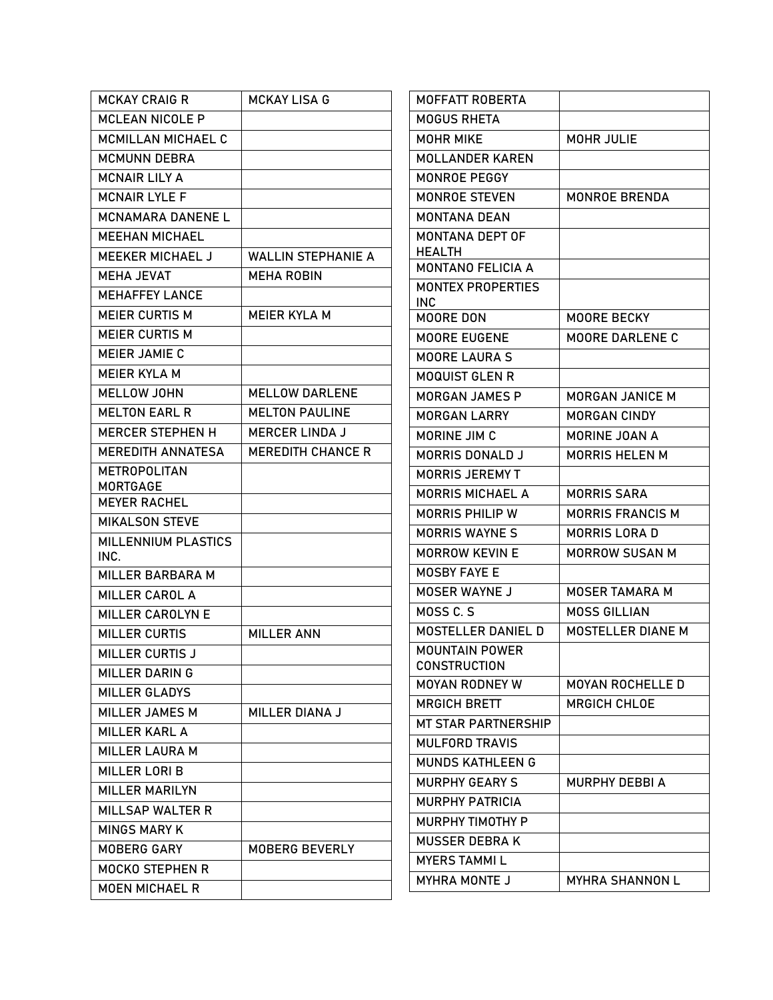| <b>MCKAY CRAIG R</b>               | <b>MCKAY LISA G</b>       | MOFFATT ROBERTA                 |                          |
|------------------------------------|---------------------------|---------------------------------|--------------------------|
| <b>MCLEAN NICOLE P</b>             |                           | <b>MOGUS RHETA</b>              |                          |
| MCMILLAN MICHAEL C                 |                           | <b>MOHR MIKE</b>                | <b>MOHR JULIE</b>        |
| <b>MCMUNN DEBRA</b>                |                           | <b>MOLLANDER KAREN</b>          |                          |
| <b>MCNAIR LILY A</b>               |                           | MONROE PEGGY                    |                          |
| <b>MCNAIR LYLE F</b>               |                           | <b>MONROE STEVEN</b>            | <b>MONROE BRENDA</b>     |
| <b>MCNAMARA DANENE L</b>           |                           | <b>MONTANA DEAN</b>             |                          |
| <b>MEEHAN MICHAEL</b>              |                           | MONTANA DEPT OF                 |                          |
| <b>MEEKER MICHAEL J</b>            | <b>WALLIN STEPHANIE A</b> | <b>HEALTH</b>                   |                          |
| <b>MEHA JEVAT</b>                  | <b>MEHA ROBIN</b>         | <b>MONTANO FELICIA A</b>        |                          |
| <b>MEHAFFEY LANCE</b>              |                           | <b>MONTEX PROPERTIES</b><br>INC |                          |
| <b>MEIER CURTIS M</b>              | <b>MEIER KYLA M</b>       | MOORE DON                       | MOORE BECKY              |
| <b>MEIER CURTIS M</b>              |                           | MOORE EUGENE                    | <b>MOORE DARLENE C</b>   |
| <b>MEIER JAMIE C</b>               |                           | <b>MOORE LAURA S</b>            |                          |
| <b>MEIER KYLA M</b>                |                           | <b>MOQUIST GLEN R</b>           |                          |
| <b>MELLOW JOHN</b>                 | <b>MELLOW DARLENE</b>     | <b>MORGAN JAMES P</b>           | <b>MORGAN JANICE M</b>   |
| <b>MELTON EARL R</b>               | <b>MELTON PAULINE</b>     | <b>MORGAN LARRY</b>             | <b>MORGAN CINDY</b>      |
| <b>MERCER STEPHEN H</b>            | <b>MERCER LINDA J</b>     | MORINE JIM C                    | <b>MORINE JOAN A</b>     |
| <b>MEREDITH ANNATESA</b>           | <b>MEREDITH CHANCE R</b>  | <b>MORRIS DONALD J</b>          | <b>MORRIS HELEN M</b>    |
| <b>METROPOLITAN</b>                |                           | <b>MORRIS JEREMY T</b>          |                          |
| <b>MORTGAGE</b>                    |                           | <b>MORRIS MICHAEL A</b>         | <b>MORRIS SARA</b>       |
| <b>MEYER RACHEL</b>                |                           | <b>MORRIS PHILIP W</b>          | <b>MORRIS FRANCIS M</b>  |
| <b>MIKALSON STEVE</b>              |                           | <b>MORRIS WAYNE S</b>           | <b>MORRIS LORA D</b>     |
| <b>MILLENNIUM PLASTICS</b><br>INC. |                           | <b>MORROW KEVIN E</b>           | <b>MORROW SUSAN M</b>    |
| MILLER BARBARA M                   |                           | MOSBY FAYE E                    |                          |
| <b>MILLER CAROL A</b>              |                           | MOSER WAYNE J                   | <b>MOSER TAMARA M</b>    |
| <b>MILLER CAROLYN E</b>            |                           | MOSS C.S                        | <b>MOSS GILLIAN</b>      |
| <b>MILLER CURTIS</b>               | <b>MILLER ANN</b>         | <b>MOSTELLER DANIEL D</b>       | <b>MOSTELLER DIANE M</b> |
| <b>MILLER CURTIS J</b>             |                           | <b>MOUNTAIN POWER</b>           |                          |
| <b>MILLER DARING</b>               |                           | <b>CONSTRUCTION</b>             |                          |
| <b>MILLER GLADYS</b>               |                           | <b>MOYAN RODNEY W</b>           | <b>MOYAN ROCHELLE D</b>  |
| MILLER JAMES M                     | MILLER DIANA J            | <b>MRGICH BRETT</b>             | <b>MRGICH CHLOE</b>      |
| <b>MILLER KARL A</b>               |                           | <b>MT STAR PARTNERSHIP</b>      |                          |
| <b>MILLER LAURA M</b>              |                           | <b>MULFORD TRAVIS</b>           |                          |
| <b>MILLER LORI B</b>               |                           | <b>MUNDS KATHLEEN G</b>         |                          |
| <b>MILLER MARILYN</b>              |                           | <b>MURPHY GEARY S</b>           | MURPHY DEBBI A           |
| <b>MILLSAP WALTER R</b>            |                           | <b>MURPHY PATRICIA</b>          |                          |
| <b>MINGS MARY K</b>                |                           | MURPHY TIMOTHY P                |                          |
| <b>MOBERG GARY</b>                 | MOBERG BEVERLY            | <b>MUSSER DEBRAK</b>            |                          |
| MOCKO STEPHEN R                    |                           | <b>MYERS TAMMIL</b>             |                          |
| <b>MOEN MICHAEL R</b>              |                           | <b>MYHRA MONTE J</b>            | <b>MYHRA SHANNON L</b>   |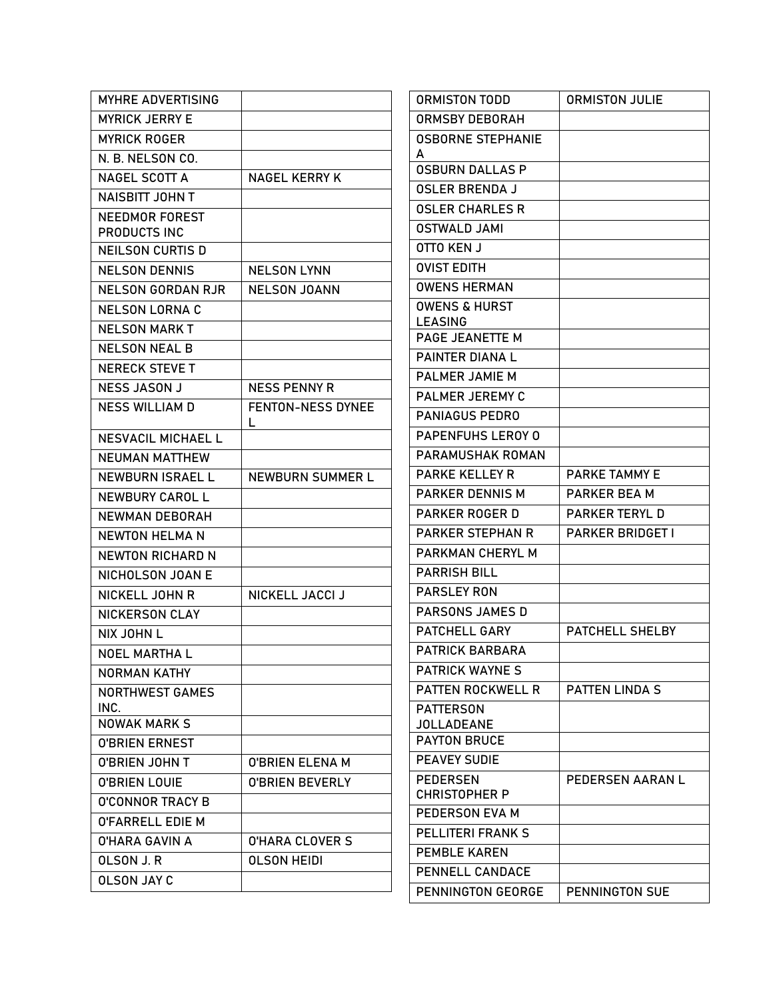| <b>MYHRE ADVERTISING</b>    |                        | <b>ORMISTON TODD</b>                  | <b>ORMISTON JULIE</b>   |
|-----------------------------|------------------------|---------------------------------------|-------------------------|
| <b>MYRICK JERRY E</b>       |                        | <b>ORMSBY DEBORAH</b>                 |                         |
| <b>MYRICK ROGER</b>         |                        | <b>OSBORNE STEPHANIE</b>              |                         |
| N. B. NELSON CO.            |                        | A                                     |                         |
| NAGEL SCOTT A               | <b>NAGEL KERRY K</b>   | <b>OSBURN DALLAS P</b>                |                         |
| <b>NAISBITT JOHN T</b>      |                        | <b>OSLER BRENDA J</b>                 |                         |
| NEEDMOR FOREST              |                        | <b>OSLER CHARLES R</b>                |                         |
| PRODUCTS INC                |                        | <b>OSTWALD JAMI</b>                   |                         |
| <b>NEILSON CURTIS D</b>     |                        | OTTO KEN J                            |                         |
| <b>NELSON DENNIS</b>        | <b>NELSON LYNN</b>     | <b>OVIST EDITH</b>                    |                         |
| <b>NELSON GORDAN RJR</b>    | <b>NELSON JOANN</b>    | <b>OWENS HERMAN</b>                   |                         |
| <b>NELSON LORNA C</b>       |                        | <b>OWENS &amp; HURST</b>              |                         |
| <b>NELSON MARK T</b>        |                        | <b>LEASING</b><br>PAGE JEANETTE M     |                         |
| <b>NELSON NEAL B</b>        |                        | <b>PAINTER DIANAL</b>                 |                         |
| <b>NERECK STEVE T</b>       |                        | PALMER JAMIE M                        |                         |
| <b>NESS JASON J</b>         | <b>NESS PENNY R</b>    | PALMER JEREMY C                       |                         |
| <b>NESS WILLIAM D</b>       | FENTON-NESS DYNEE      | <b>PANIAGUS PEDRO</b>                 |                         |
|                             | L                      | PAPENFUHS LEROY 0                     |                         |
| <b>NESVACIL MICHAEL L</b>   |                        | PARAMUSHAK ROMAN                      |                         |
| <b>NEUMAN MATTHEW</b>       |                        | <b>PARKE KELLEY R</b>                 | <b>PARKE TAMMY E</b>    |
| <b>NEWBURN ISRAEL L</b>     | NEWBURN SUMMER L       | <b>PARKER DENNIS M</b>                | PARKER BEA M            |
| NEWBURY CAROL L             |                        | <b>PARKER ROGER D</b>                 | <b>PARKER TERYL D</b>   |
| NEWMAN DEBORAH              |                        | <b>PARKER STEPHAN R</b>               | <b>PARKER BRIDGET I</b> |
| <b>NEWTON HELMA N</b>       |                        | PARKMAN CHERYL M                      |                         |
| <b>NEWTON RICHARD N</b>     |                        | <b>PARRISH BILL</b>                   |                         |
| NICHOLSON JOAN E            |                        | <b>PARSLEY RON</b>                    |                         |
| NICKELL JOHN R              | NICKELL JACCI J        | <b>PARSONS JAMES D</b>                |                         |
| <b>NICKERSON CLAY</b>       |                        |                                       |                         |
| NIX JOHN L                  |                        | PATCHELL GARY                         | PATCHELL SHELBY         |
| NOEL MARTHA L               |                        | <b>PATRICK BARBARA</b>                |                         |
| NORMAN KATHY                |                        | <b>PATRICK WAYNE S</b>                |                         |
| <b>NORTHWEST GAMES</b>      |                        | <b>PATTEN ROCKWELL R</b>              | <b>PATTEN LINDA S</b>   |
| INC.<br><b>NOWAK MARK S</b> |                        | <b>PATTERSON</b><br><b>JOLLADEANE</b> |                         |
| <b>O'BRIEN ERNEST</b>       |                        | <b>PAYTON BRUCE</b>                   |                         |
| <b>O'BRIEN JOHN T</b>       | <b>O'BRIEN ELENA M</b> | <b>PEAVEY SUDIE</b>                   |                         |
| <b>O'BRIEN LOUIE</b>        | <b>O'BRIEN BEVERLY</b> | <b>PEDERSEN</b>                       | PEDERSEN AARAN L        |
| <b>O'CONNOR TRACY B</b>     |                        | <b>CHRISTOPHER P</b>                  |                         |
| <b>O'FARRELL EDIE M</b>     |                        | PEDERSON EVA M                        |                         |
| <b>O'HARA GAVIN A</b>       | <b>O'HARA CLOVER S</b> | <b>PELLITERI FRANK S</b>              |                         |
| OLSON J.R                   | <b>OLSON HEIDI</b>     | <b>PEMBLE KAREN</b>                   |                         |
| <b>OLSON JAY C</b>          |                        | PENNELL CANDACE                       |                         |
|                             |                        | PENNINGTON GEORGE                     | PENNINGTON SUE          |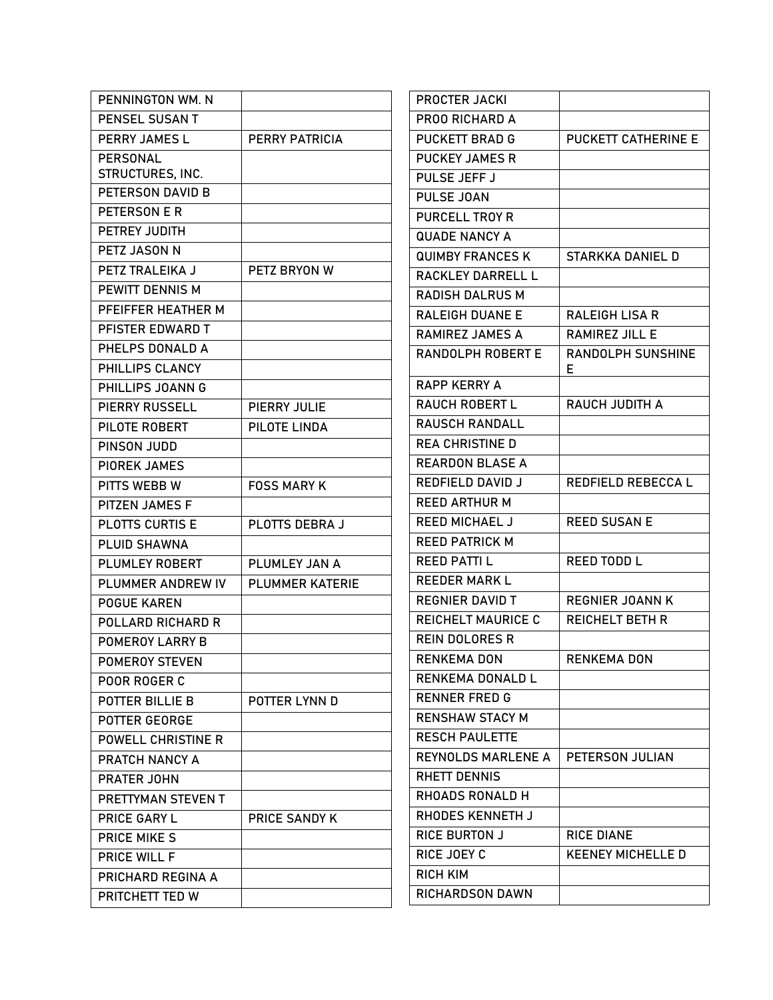| PENNINGTON WM. N          |                        | <b>PROCTER JACKI</b>      |                            |
|---------------------------|------------------------|---------------------------|----------------------------|
| PENSEL SUSAN T            |                        | PROO RICHARD A            |                            |
| PERRY JAMES L             | <b>PERRY PATRICIA</b>  | <b>PUCKETT BRAD G</b>     | <b>PUCKETT CATHERINE E</b> |
| <b>PERSONAL</b>           |                        | <b>PUCKEY JAMES R</b>     |                            |
| <b>STRUCTURES, INC.</b>   |                        | PULSE JEFF J              |                            |
| PETERSON DAVID B          |                        | <b>PULSE JOAN</b>         |                            |
| PETERSON E R              |                        | <b>PURCELL TROY R</b>     |                            |
| PETREY JUDITH             |                        | <b>QUADE NANCY A</b>      |                            |
| PETZ JASON N              |                        | <b>QUIMBY FRANCES K</b>   | STARKKA DANIEL D           |
| PETZ TRALEIKA J           | PETZ BRYON W           | RACKLEY DARRELL L         |                            |
| PEWITT DENNIS M           |                        | <b>RADISH DALRUS M</b>    |                            |
| PFEIFFER HEATHER M        |                        | <b>RALEIGH DUANE E</b>    | <b>RALEIGH LISA R</b>      |
| PFISTER EDWARD T          |                        | <b>RAMIREZ JAMES A</b>    | <b>RAMIREZ JILL E</b>      |
| PHELPS DONALD A           |                        | <b>RANDOLPH ROBERT E</b>  | <b>RANDOLPH SUNSHINE</b>   |
| PHILLIPS CLANCY           |                        |                           | Е                          |
| PHILLIPS JOANN G          |                        | <b>RAPP KERRY A</b>       |                            |
| <b>PIERRY RUSSELL</b>     | PIERRY JULIE           | <b>RAUCH ROBERT L</b>     | RAUCH JUDITH A             |
| PILOTE ROBERT             | PILOTE LINDA           | <b>RAUSCH RANDALL</b>     |                            |
| PINSON JUDD               |                        | <b>REA CHRISTINE D</b>    |                            |
| <b>PIOREK JAMES</b>       |                        | <b>REARDON BLASE A</b>    |                            |
| PITTS WEBB W              | <b>FOSS MARY K</b>     | REDFIELD DAVID J          | REDFIELD REBECCA L         |
| PITZEN JAMES F            |                        | <b>REED ARTHUR M</b>      |                            |
| <b>PLOTTS CURTIS E</b>    | PLOTTS DEBRA J         | <b>REED MICHAEL J</b>     | <b>REED SUSAN E</b>        |
| <b>PLUID SHAWNA</b>       |                        | <b>REED PATRICK M</b>     |                            |
| <b>PLUMLEY ROBERT</b>     | PLUMLEY JAN A          | <b>REED PATTI L</b>       | <b>REED TODD L</b>         |
| PLUMMER ANDREW IV         | <b>PLUMMER KATERIE</b> | <b>REEDER MARK L</b>      |                            |
| <b>POGUE KAREN</b>        |                        | <b>REGNIER DAVID T</b>    | <b>REGNIER JOANN K</b>     |
| POLLARD RICHARD R         |                        | <b>REICHELT MAURICE C</b> | <b>REICHELT BETH R</b>     |
| <b>POMEROY LARRY B</b>    |                        | <b>REIN DOLORES R</b>     |                            |
| POMEROY STEVEN            |                        | <b>RENKEMA DON</b>        | <b>RENKEMA DON</b>         |
| POOR ROGER C              |                        | RENKEMA DONALD L          |                            |
| POTTER BILLIE B           | POTTER LYNN D          | <b>RENNER FRED G</b>      |                            |
| POTTER GEORGE             |                        | <b>RENSHAW STACY M</b>    |                            |
| <b>POWELL CHRISTINE R</b> |                        | <b>RESCH PAULETTE</b>     |                            |
| PRATCH NANCY A            |                        | <b>REYNOLDS MARLENE A</b> | PETERSON JULIAN            |
| <b>PRATER JOHN</b>        |                        | <b>RHETT DENNIS</b>       |                            |
| PRETTYMAN STEVEN T        |                        | <b>RHOADS RONALD H</b>    |                            |
| <b>PRICE GARY L</b>       | <b>PRICE SANDY K</b>   | RHODES KENNETH J          |                            |
| <b>PRICE MIKE S</b>       |                        | <b>RICE BURTON J</b>      | <b>RICE DIANE</b>          |
| <b>PRICE WILL F</b>       |                        | RICE JOEY C               | <b>KEENEY MICHELLE D</b>   |
| PRICHARD REGINA A         |                        | <b>RICH KIM</b>           |                            |
| PRITCHETT TED W           |                        | <b>RICHARDSON DAWN</b>    |                            |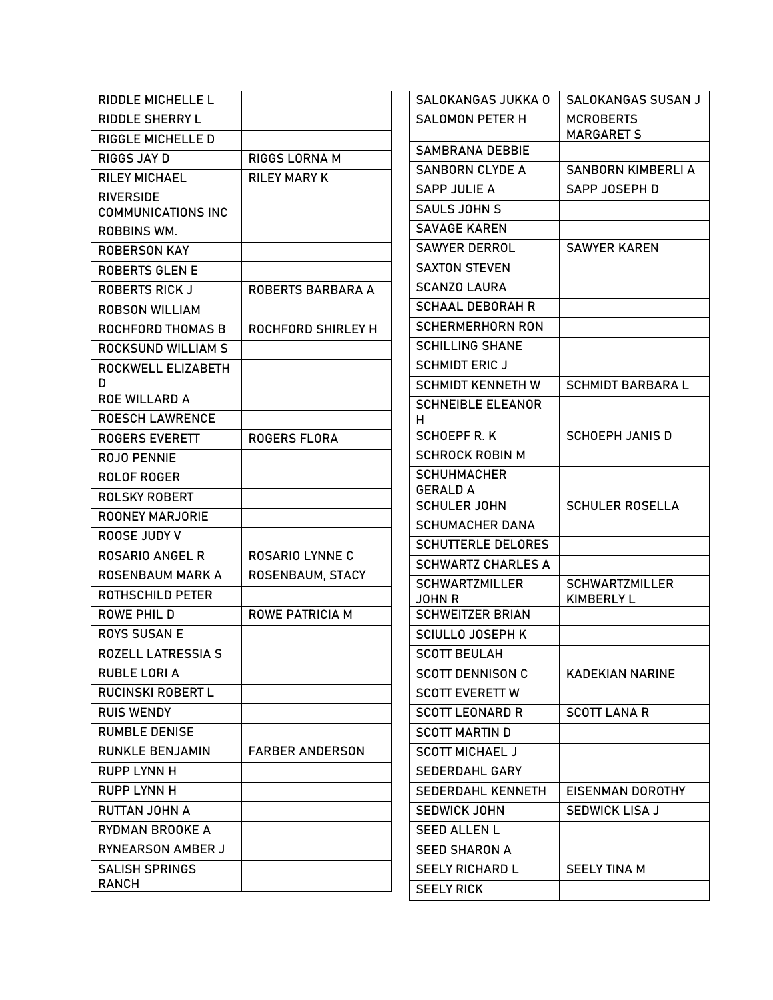| <b>RIDDLE MICHELLE L</b>                      |                          | SALOKANGAS JUKKA 0                     | SALOKANGAS SUSAN J                    |
|-----------------------------------------------|--------------------------|----------------------------------------|---------------------------------------|
| <b>RIDDLE SHERRY L</b>                        |                          | <b>SALOMON PETER H</b>                 | <b>MCROBERTS</b><br><b>MARGARET S</b> |
| RIGGLE MICHELLE D                             |                          | <b>SAMBRANA DEBBIE</b>                 |                                       |
| RIGGS JAY D                                   | RIGGS LORNA M            | <b>SANBORN CLYDE A</b>                 | <b>SANBORN KIMBERLI A</b>             |
| <b>RILEY MICHAEL</b>                          | <b>RILEY MARY K</b>      | <b>SAPP JULIE A</b>                    | SAPP JOSEPH D                         |
| <b>RIVERSIDE</b><br><b>COMMUNICATIONS INC</b> |                          | <b>SAULS JOHN S</b>                    |                                       |
| ROBBINS WM.                                   |                          | <b>SAVAGE KAREN</b>                    |                                       |
| <b>ROBERSON KAY</b>                           |                          | <b>SAWYER DERROL</b>                   | <b>SAWYER KAREN</b>                   |
| <b>ROBERTS GLEN E</b>                         |                          | <b>SAXTON STEVEN</b>                   |                                       |
| <b>ROBERTS RICK J</b>                         | <b>ROBERTS BARBARA A</b> | <b>SCANZO LAURA</b>                    |                                       |
| <b>ROBSON WILLIAM</b>                         |                          | <b>SCHAAL DEBORAH R</b>                |                                       |
| <b>ROCHFORD THOMAS B</b>                      | ROCHFORD SHIRLEY H       | <b>SCHERMERHORN RON</b>                |                                       |
| <b>ROCKSUND WILLIAM S</b>                     |                          | <b>SCHILLING SHANE</b>                 |                                       |
| ROCKWELL ELIZABETH                            |                          | <b>SCHMIDT ERIC J</b>                  |                                       |
| D                                             |                          | <b>SCHMIDT KENNETH W</b>               | <b>SCHMIDT BARBARA L</b>              |
| <b>ROE WILLARD A</b>                          |                          | <b>SCHNEIBLE ELEANOR</b>               |                                       |
| <b>ROESCH LAWRENCE</b>                        |                          | н.                                     |                                       |
| <b>ROGERS EVERETT</b>                         | <b>ROGERS FLORA</b>      | <b>SCHOEPF R.K</b>                     | <b>SCHOEPH JANIS D</b>                |
| ROJO PENNIE                                   |                          | <b>SCHROCK ROBIN M</b>                 |                                       |
| <b>ROLOF ROGER</b>                            |                          | <b>SCHUHMACHER</b>                     |                                       |
| ROLSKY ROBERT                                 |                          | <b>GERALD A</b><br><b>SCHULER JOHN</b> | <b>SCHULER ROSELLA</b>                |
| <b>ROONEY MARJORIE</b>                        |                          | <b>SCHUMACHER DANA</b>                 |                                       |
| ROOSE JUDY V                                  |                          | <b>SCHUTTERLE DELORES</b>              |                                       |
| <b>ROSARIO ANGEL R</b>                        | <b>ROSARIO LYNNE C</b>   | <b>SCHWARTZ CHARLES A</b>              |                                       |
| <b>ROSENBAUM MARK A</b>                       | ROSENBAUM, STACY         | <b>SCHWARTZMILLER</b>                  | <b>SCHWARTZMILLER</b>                 |
| <b>ROTHSCHILD PETER</b>                       |                          | <b>JOHN R</b>                          | <b>KIMBERLY L</b>                     |
| ROWE PHIL D                                   | <b>ROWE PATRICIA M</b>   | <b>SCHWEITZER BRIAN</b>                |                                       |
| <b>ROYS SUSAN E</b>                           |                          | <b>SCIULLO JOSEPH K</b>                |                                       |
| <b>ROZELL LATRESSIA S</b>                     |                          | <b>SCOTT BEULAH</b>                    |                                       |
| RUBLE LORI A                                  |                          | <b>SCOTT DENNISON C</b>                | <b>KADEKIAN NARINE</b>                |
| <b>RUCINSKI ROBERT L</b>                      |                          | <b>SCOTT EVERETT W</b>                 |                                       |
| <b>RUIS WENDY</b>                             |                          | <b>SCOTT LEONARD R</b>                 | <b>SCOTT LANA R</b>                   |
| <b>RUMBLE DENISE</b>                          |                          | <b>SCOTT MARTIN D</b>                  |                                       |
| <b>RUNKLE BENJAMIN</b>                        | <b>FARBER ANDERSON</b>   | <b>SCOTT MICHAEL J</b>                 |                                       |
| <b>RUPP LYNN H</b>                            |                          | SEDERDAHL GARY                         |                                       |
| RUPP LYNN H                                   |                          | SEDERDAHL KENNETH                      | EISENMAN DOROTHY                      |
| <b>RUTTAN JOHN A</b>                          |                          | <b>SEDWICK JOHN</b>                    | <b>SEDWICK LISA J</b>                 |
| RYDMAN BROOKE A                               |                          | <b>SEED ALLEN L</b>                    |                                       |
| RYNEARSON AMBER J                             |                          | <b>SEED SHARON A</b>                   |                                       |
| <b>SALISH SPRINGS</b>                         |                          | <b>SEELY RICHARD L</b>                 | <b>SEELY TINA M</b>                   |
| RANCH                                         |                          | <b>SEELY RICK</b>                      |                                       |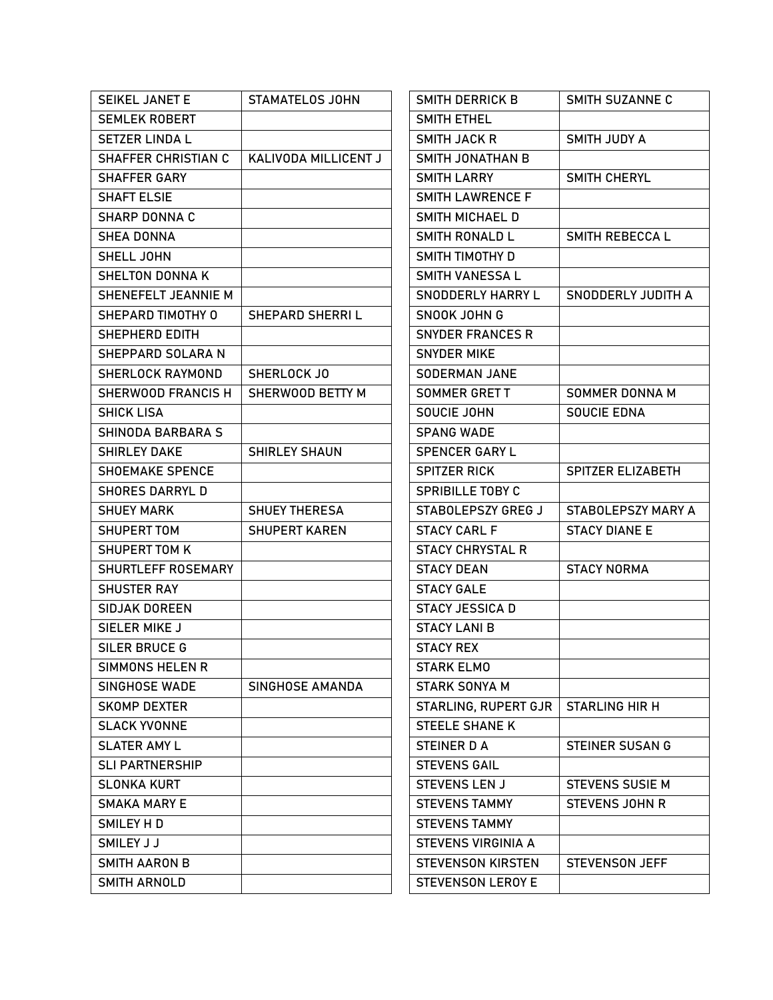| <b>SEIKEL JANET E</b>      | STAMATELOS JOHN      | SMITH DERRICK B          | SMITH SUZANNE C          |
|----------------------------|----------------------|--------------------------|--------------------------|
| <b>SEMLEK ROBERT</b>       |                      | <b>SMITH ETHEL</b>       |                          |
| <b>SETZER LINDA L</b>      |                      | <b>SMITH JACK R</b>      | <b>SMITH JUDY A</b>      |
| <b>SHAFFER CHRISTIAN C</b> | KALIVODA MILLICENT J | <b>SMITH JONATHAN B</b>  |                          |
| <b>SHAFFER GARY</b>        |                      | <b>SMITH LARRY</b>       | SMITH CHERYL             |
| <b>SHAFT ELSIE</b>         |                      | <b>SMITH LAWRENCE F</b>  |                          |
| <b>SHARP DONNA C</b>       |                      | SMITH MICHAEL D          |                          |
| <b>SHEA DONNA</b>          |                      | <b>SMITH RONALD L</b>    | SMITH REBECCA L          |
| SHELL JOHN                 |                      | SMITH TIMOTHY D          |                          |
| <b>SHELTON DONNA K</b>     |                      | <b>SMITH VANESSA L</b>   |                          |
| SHENEFELT JEANNIE M        |                      | <b>SNODDERLY HARRY L</b> | SNODDERLY JUDITH A       |
| SHEPARD TIMOTHY O          | SHEPARD SHERRIL      | SNOOK JOHN G             |                          |
| SHEPHERD EDITH             |                      | <b>SNYDER FRANCES R</b>  |                          |
| SHEPPARD SOLARA N          |                      | <b>SNYDER MIKE</b>       |                          |
| <b>SHERLOCK RAYMOND</b>    | SHERLOCK JO          | <b>SODERMAN JANE</b>     |                          |
| SHERWOOD FRANCIS H         | SHERWOOD BETTY M     | <b>SOMMER GRETT</b>      | SOMMER DONNA M           |
| <b>SHICK LISA</b>          |                      | SOUCIE JOHN              | <b>SOUCIE EDNA</b>       |
| SHINODA BARBARA S          |                      | <b>SPANG WADE</b>        |                          |
| <b>SHIRLEY DAKE</b>        | <b>SHIRLEY SHAUN</b> | <b>SPENCER GARY L</b>    |                          |
| <b>SHOEMAKE SPENCE</b>     |                      | <b>SPITZER RICK</b>      | <b>SPITZER ELIZABETH</b> |
| <b>SHORES DARRYL D</b>     |                      | <b>SPRIBILLE TOBY C</b>  |                          |
| <b>SHUEY MARK</b>          | <b>SHUEY THERESA</b> | STABOLEPSZY GREG J       | STABOLEPSZY MARY A       |
| SHUPERT TOM                | <b>SHUPERT KAREN</b> | <b>STACY CARL F</b>      | <b>STACY DIANE E</b>     |
| <b>SHUPERT TOM K</b>       |                      | <b>STACY CHRYSTAL R</b>  |                          |
| SHURTLEFF ROSEMARY         |                      | <b>STACY DEAN</b>        | <b>STACY NORMA</b>       |
| <b>SHUSTER RAY</b>         |                      | <b>STACY GALE</b>        |                          |
| <b>SIDJAK DOREEN</b>       |                      | <b>STACY JESSICA D</b>   |                          |
| SIELER MIKE J              |                      | <b>STACY LANI B</b>      |                          |
| SILER BRUCE G              |                      | <b>STACY REX</b>         |                          |
| <b>SIMMONS HELEN R</b>     |                      | <b>STARK ELMO</b>        |                          |
| SINGHOSE WADE              | SINGHOSE AMANDA      | <b>STARK SONYA M</b>     |                          |
| <b>SKOMP DEXTER</b>        |                      | STARLING, RUPERT GJR     | <b>STARLING HIR H</b>    |
| <b>SLACK YVONNE</b>        |                      | <b>STEELE SHANE K</b>    |                          |
| <b>SLATER AMY L</b>        |                      | STEINER D A              | <b>STEINER SUSAN G</b>   |
| <b>SLI PARTNERSHIP</b>     |                      | <b>STEVENS GAIL</b>      |                          |
| <b>SLONKA KURT</b>         |                      | <b>STEVENS LEN J</b>     | <b>STEVENS SUSIE M</b>   |
| <b>SMAKA MARY E</b>        |                      | <b>STEVENS TAMMY</b>     | <b>STEVENS JOHN R</b>    |
| SMILEY HD                  |                      | <b>STEVENS TAMMY</b>     |                          |
| SMILEY J J                 |                      | STEVENS VIRGINIA A       |                          |
| <b>SMITH AARON B</b>       |                      | <b>STEVENSON KIRSTEN</b> | STEVENSON JEFF           |
| SMITH ARNOLD               |                      | <b>STEVENSON LEROY E</b> |                          |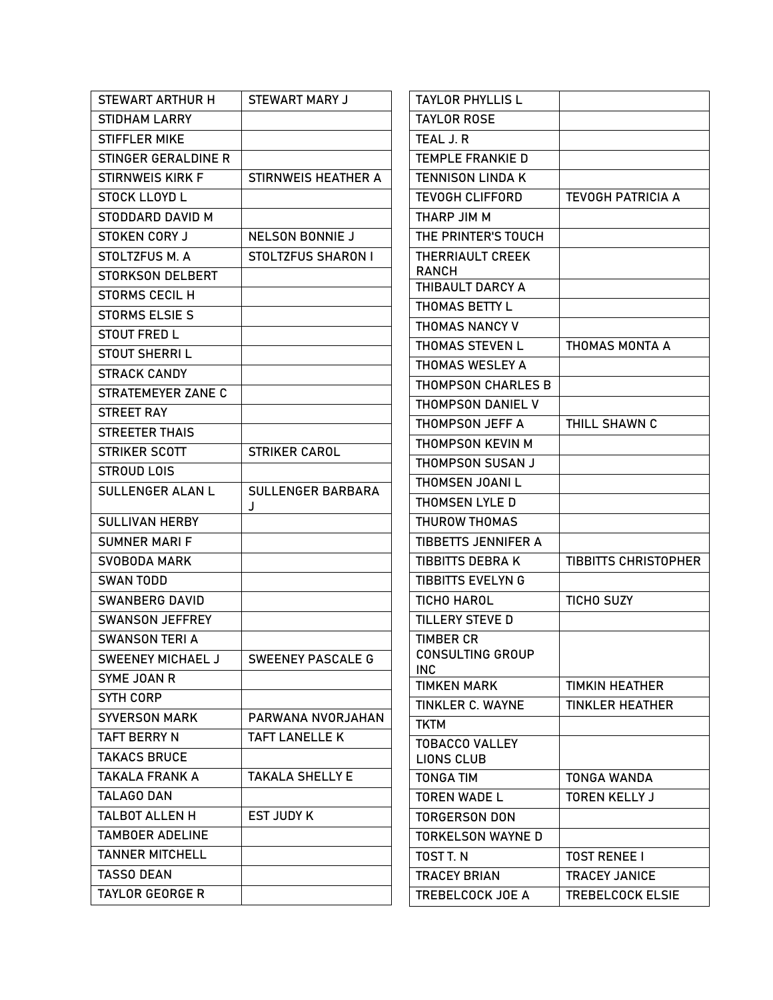| STEWART ARTHUR H        | STEWART MARY J            | <b>TAYLOR PHYLLIS L</b>                     |                             |
|-------------------------|---------------------------|---------------------------------------------|-----------------------------|
| <b>STIDHAM LARRY</b>    |                           | <b>TAYLOR ROSE</b>                          |                             |
| STIFFLER MIKE           |                           | TEAL J.R                                    |                             |
| STINGER GERALDINE R     |                           | <b>TEMPLE FRANKIE D</b>                     |                             |
| <b>STIRNWEIS KIRK F</b> | STIRNWEIS HEATHER A       | <b>TENNISON LINDA K</b>                     |                             |
| <b>STOCK LLOYD L</b>    |                           | <b>TEVOGH CLIFFORD</b>                      | <b>TEVOGH PATRICIA A</b>    |
| STODDARD DAVID M        |                           | THARP JIM M                                 |                             |
| <b>STOKEN CORY J</b>    | <b>NELSON BONNIE J</b>    | THE PRINTER'S TOUCH                         |                             |
| STOLTZFUS M. A          | <b>STOLTZFUS SHARON I</b> | <b>THERRIAULT CREEK</b>                     |                             |
| <b>STORKSON DELBERT</b> |                           | <b>RANCH</b>                                |                             |
| <b>STORMS CECIL H</b>   |                           | THIBAULT DARCY A                            |                             |
| <b>STORMS ELSIE S</b>   |                           | THOMAS BETTY L                              |                             |
| <b>STOUT FRED L</b>     |                           | THOMAS NANCY V                              |                             |
| <b>STOUT SHERRIL</b>    |                           | <b>THOMAS STEVEN L</b>                      | THOMAS MONTA A              |
| <b>STRACK CANDY</b>     |                           | THOMAS WESLEY A                             |                             |
| STRATEMEYER ZANE C      |                           | THOMPSON CHARLES B                          |                             |
| <b>STREET RAY</b>       |                           | THOMPSON DANIEL V                           |                             |
| <b>STREETER THAIS</b>   |                           | THOMPSON JEFF A                             | THILL SHAWN C               |
| STRIKER SCOTT           | <b>STRIKER CAROL</b>      | THOMPSON KEVIN M                            |                             |
| <b>STROUD LOIS</b>      |                           | THOMPSON SUSAN J                            |                             |
| <b>SULLENGER ALAN L</b> | <b>SULLENGER BARBARA</b>  | THOMSEN JOANI L                             |                             |
|                         | J                         | THOMSEN LYLE D                              |                             |
| <b>SULLIVAN HERBY</b>   |                           | THUROW THOMAS                               |                             |
| <b>SUMNER MARI F</b>    |                           | <b>TIBBETTS JENNIFER A</b>                  |                             |
| SVOBODA MARK            |                           | <b>TIBBITTS DEBRAK</b>                      | <b>TIBBITTS CHRISTOPHER</b> |
| <b>SWAN TODD</b>        |                           | <b>TIBBITTS EVELYN G</b>                    |                             |
| <b>SWANBERG DAVID</b>   |                           | <b>TICHO HAROL</b>                          | <b>TICHO SUZY</b>           |
| SWANSON JEFFREY         |                           | <b>TILLERY STEVE D</b>                      |                             |
| <b>SWANSON TERI A</b>   |                           | <b>TIMBER CR</b><br><b>CONSULTING GROUP</b> |                             |
| SWEENEY MICHAEL J       | <b>SWEENEY PASCALE G</b>  | INC.                                        |                             |
| SYME JOAN R             |                           | <b>TIMKEN MARK</b>                          | <b>TIMKIN HEATHER</b>       |
| SYTH CORP               |                           | <b>TINKLER C. WAYNE</b>                     | <b>TINKLER HEATHER</b>      |
| <b>SYVERSON MARK</b>    | PARWANA NVORJAHAN         | <b>TKTM</b>                                 |                             |
| <b>TAFT BERRY N</b>     | <b>TAFT LANELLE K</b>     | <b>TOBACCO VALLEY</b>                       |                             |
| <b>TAKACS BRUCE</b>     |                           | LIONS CLUB                                  |                             |
| <b>TAKALA FRANK A</b>   | <b>TAKALA SHELLY E</b>    | <b>TONGA TIM</b>                            | TONGA WANDA                 |
| <b>TALAGO DAN</b>       |                           | <b>TOREN WADE L</b>                         | <b>TOREN KELLY J</b>        |
| <b>TALBOT ALLEN H</b>   | <b>EST JUDY K</b>         | <b>TORGERSON DON</b>                        |                             |
| <b>TAMBOER ADELINE</b>  |                           | <b>TORKELSON WAYNE D</b>                    |                             |
| <b>TANNER MITCHELL</b>  |                           | TOST T. N                                   | <b>TOST RENEE I</b>         |
| <b>TASSO DEAN</b>       |                           | <b>TRACEY BRIAN</b>                         | <b>TRACEY JANICE</b>        |
| <b>TAYLOR GEORGE R</b>  |                           | TREBELCOCK JOE A                            | TREBELCOCK ELSIE            |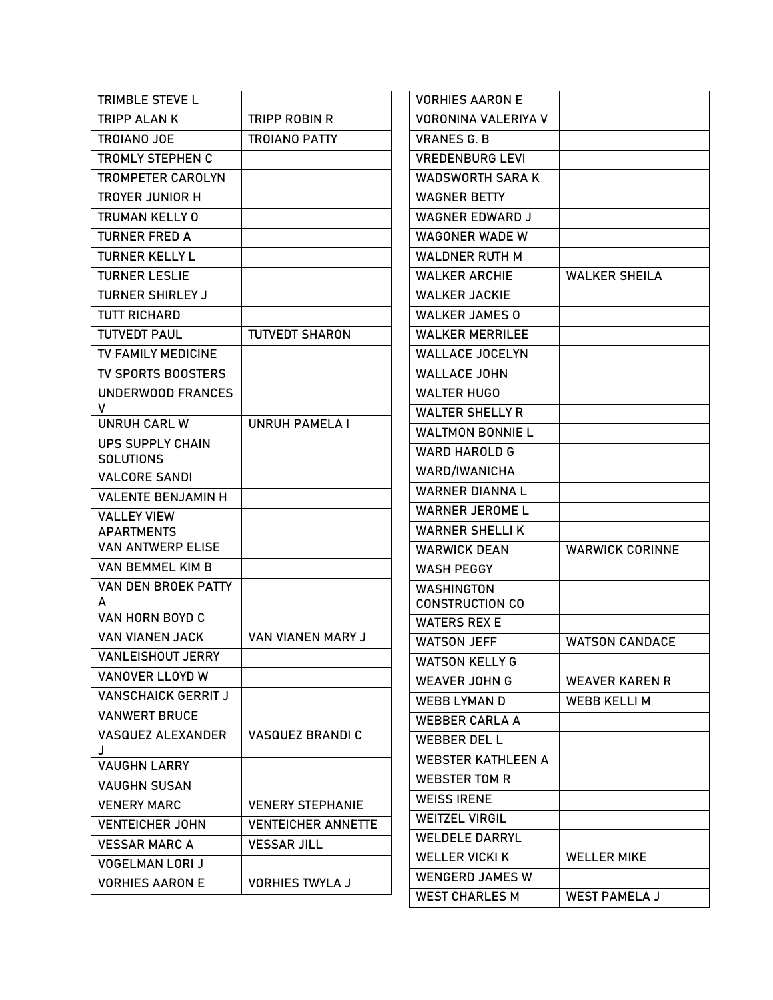| TRIMBLE STEVE L                             |                           | <b>VORHIES AARON E</b>    |                        |
|---------------------------------------------|---------------------------|---------------------------|------------------------|
| <b>TRIPP ALANK</b>                          | TRIPP ROBIN R             | VORONINA VALERIYA V       |                        |
| <b>TROIANO JOE</b>                          | <b>TROIANO PATTY</b>      | <b>VRANES G. B</b>        |                        |
| TROMLY STEPHEN C                            |                           | <b>VREDENBURG LEVI</b>    |                        |
| <b>TROMPETER CAROLYN</b>                    |                           | <b>WADSWORTH SARA K</b>   |                        |
| <b>TROYER JUNIOR H</b>                      |                           | <b>WAGNER BETTY</b>       |                        |
| <b>TRUMAN KELLY 0</b>                       |                           | <b>WAGNER EDWARD J</b>    |                        |
| <b>TURNER FRED A</b>                        |                           | <b>WAGONER WADE W</b>     |                        |
| <b>TURNER KELLY L</b>                       |                           | <b>WALDNER RUTH M</b>     |                        |
| <b>TURNER LESLIE</b>                        |                           | <b>WALKER ARCHIE</b>      | <b>WALKER SHEILA</b>   |
| <b>TURNER SHIRLEY J</b>                     |                           | <b>WALKER JACKIE</b>      |                        |
| <b>TUTT RICHARD</b>                         |                           | <b>WALKER JAMES 0</b>     |                        |
| <b>TUTVEDT PAUL</b>                         | <b>TUTVEDT SHARON</b>     | <b>WALKER MERRILEE</b>    |                        |
| TV FAMILY MEDICINE                          |                           | <b>WALLACE JOCELYN</b>    |                        |
| TV SPORTS BOOSTERS                          |                           | <b>WALLACE JOHN</b>       |                        |
| <b>UNDERWOOD FRANCES</b>                    |                           | <b>WALTER HUGO</b>        |                        |
| V                                           |                           | <b>WALTER SHELLY R</b>    |                        |
| <b>UNRUH CARL W</b>                         | <b>UNRUH PAMELA I</b>     | <b>WALTMON BONNIE L</b>   |                        |
| <b>UPS SUPPLY CHAIN</b><br><b>SOLUTIONS</b> |                           | <b>WARD HAROLD G</b>      |                        |
| <b>VALCORE SANDI</b>                        |                           | WARD/IWANICHA             |                        |
| <b>VALENTE BENJAMIN H</b>                   |                           | <b>WARNER DIANNA L</b>    |                        |
| <b>VALLEY VIEW</b>                          |                           | <b>WARNER JEROME L</b>    |                        |
| <b>APARTMENTS</b>                           |                           | <b>WARNER SHELLIK</b>     |                        |
| <b>VAN ANTWERP ELISE</b>                    |                           | <b>WARWICK DEAN</b>       | <b>WARWICK CORINNE</b> |
| VAN BEMMEL KIM B                            |                           | <b>WASH PEGGY</b>         |                        |
| VAN DEN BROEK PATTY                         |                           | <b>WASHINGTON</b>         |                        |
| А<br>VAN HORN BOYD C                        |                           | <b>CONSTRUCTION CO</b>    |                        |
| <b>VAN VIANEN JACK</b>                      |                           | <b>WATERS REX E</b>       |                        |
|                                             | VAN VIANEN MARY J         | <b>WATSON JEFF</b>        | <b>WATSON CANDACE</b>  |
| <b>VANLEISHOUT JERRY</b>                    |                           | <b>WATSON KELLY G</b>     |                        |
| VANOVER LLOYD W                             |                           | <b>WEAVER JOHN G</b>      | <b>WEAVER KAREN R</b>  |
| <b>VANSCHAICK GERRIT J</b>                  |                           | <b>WEBB LYMAN D</b>       | <b>WEBB KELLI M</b>    |
| <b>VANWERT BRUCE</b>                        |                           | <b>WEBBER CARLA A</b>     |                        |
| <b>VASQUEZ ALEXANDER</b>                    | <b>VASQUEZ BRANDI C</b>   | <b>WEBBER DEL L</b>       |                        |
| <b>VAUGHN LARRY</b>                         |                           | <b>WEBSTER KATHLEEN A</b> |                        |
| <b>VAUGHN SUSAN</b>                         |                           | <b>WEBSTER TOM R</b>      |                        |
| <b>VENERY MARC</b>                          | <b>VENERY STEPHANIE</b>   | <b>WEISS IRENE</b>        |                        |
| <b>VENTEICHER JOHN</b>                      | <b>VENTEICHER ANNETTE</b> | <b>WEITZEL VIRGIL</b>     |                        |
| <b>VESSAR MARC A</b>                        | <b>VESSAR JILL</b>        | <b>WELDELE DARRYL</b>     |                        |
| <b>VOGELMAN LORI J</b>                      |                           | <b>WELLER VICKI K</b>     | <b>WELLER MIKE</b>     |
| <b>VORHIES AARON E</b>                      | <b>VORHIES TWYLA J</b>    | <b>WENGERD JAMES W</b>    |                        |
|                                             |                           | <b>WEST CHARLES M</b>     | <b>WEST PAMELA J</b>   |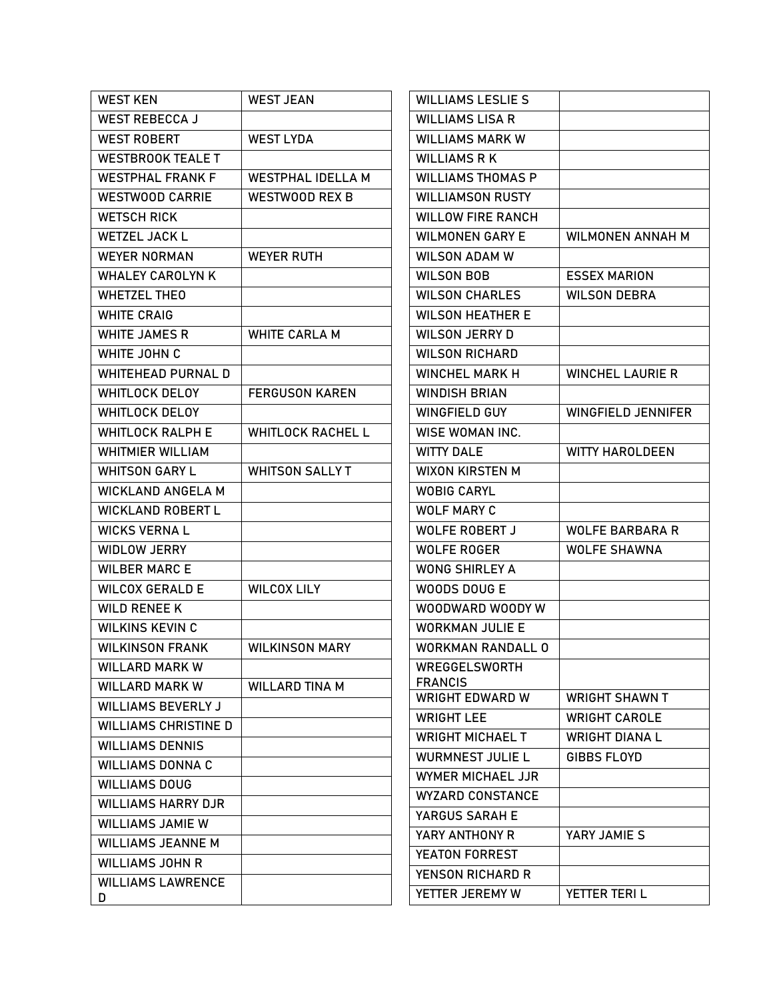| <b>WEST KEN</b>             | <b>WEST JEAN</b>         | <b>WILLIAMS LESLIE S</b>                 |                           |
|-----------------------------|--------------------------|------------------------------------------|---------------------------|
| <b>WEST REBECCA J</b>       |                          | <b>WILLIAMS LISA R</b>                   |                           |
| <b>WEST ROBERT</b>          | <b>WEST LYDA</b>         | <b>WILLIAMS MARK W</b>                   |                           |
| <b>WESTBROOK TEALE T</b>    |                          | <b>WILLIAMS R K</b>                      |                           |
| <b>WESTPHAL FRANK F</b>     | <b>WESTPHAL IDELLA M</b> | <b>WILLIAMS THOMAS P</b>                 |                           |
| <b>WESTWOOD CARRIE</b>      | <b>WESTWOOD REX B</b>    | <b>WILLIAMSON RUSTY</b>                  |                           |
| <b>WETSCH RICK</b>          |                          | <b>WILLOW FIRE RANCH</b>                 |                           |
| <b>WETZEL JACK L</b>        |                          | <b>WILMONEN GARY E</b>                   | <b>WILMONEN ANNAH M</b>   |
| <b>WEYER NORMAN</b>         | <b>WEYER RUTH</b>        | <b>WILSON ADAM W</b>                     |                           |
| <b>WHALEY CAROLYN K</b>     |                          | <b>WILSON BOB</b>                        | <b>ESSEX MARION</b>       |
| <b>WHETZEL THEO</b>         |                          | <b>WILSON CHARLES</b>                    | <b>WILSON DEBRA</b>       |
| <b>WHITE CRAIG</b>          |                          | <b>WILSON HEATHER E</b>                  |                           |
| <b>WHITE JAMES R</b>        | <b>WHITE CARLA M</b>     | <b>WILSON JERRY D</b>                    |                           |
| WHITE JOHN C                |                          | <b>WILSON RICHARD</b>                    |                           |
| <b>WHITEHEAD PURNAL D</b>   |                          | <b>WINCHEL MARK H</b>                    | <b>WINCHEL LAURIE R</b>   |
| <b>WHITLOCK DELOY</b>       | <b>FERGUSON KAREN</b>    | <b>WINDISH BRIAN</b>                     |                           |
| <b>WHITLOCK DELOY</b>       |                          | WINGFIELD GUY                            | <b>WINGFIELD JENNIFER</b> |
| <b>WHITLOCK RALPH E</b>     | <b>WHITLOCK RACHEL L</b> | WISE WOMAN INC.                          |                           |
| <b>WHITMIER WILLIAM</b>     |                          | <b>WITTY DALE</b>                        | WITTY HAROLDEEN           |
| <b>WHITSON GARY L</b>       | <b>WHITSON SALLYT</b>    | <b>WIXON KIRSTEN M</b>                   |                           |
| <b>WICKLAND ANGELA M</b>    |                          | <b>WOBIG CARYL</b>                       |                           |
| <b>WICKLAND ROBERT L</b>    |                          | <b>WOLF MARY C</b>                       |                           |
| <b>WICKS VERNAL</b>         |                          | WOLFE ROBERT J                           | <b>WOLFE BARBARA R</b>    |
| <b>WIDLOW JERRY</b>         |                          | <b>WOLFE ROGER</b>                       | <b>WOLFE SHAWNA</b>       |
| <b>WILBER MARC E</b>        |                          | <b>WONG SHIRLEY A</b>                    |                           |
| <b>WILCOX GERALD E</b>      | <b>WILCOX LILY</b>       | WOODS DOUG E                             |                           |
| <b>WILD RENEE K</b>         |                          | WOODWARD WOODY W                         |                           |
| <b>WILKINS KEVIN C</b>      |                          | <b>WORKMAN JULIE E</b>                   |                           |
| <b>WILKINSON FRANK</b>      | <b>WILKINSON MARY</b>    | <b>WORKMAN RANDALL O</b>                 |                           |
| <b>WILLARD MARK W</b>       |                          | <b>WREGGELSWORTH</b>                     |                           |
| <b>WILLARD MARK W</b>       | <b>WILLARD TINA M</b>    | <b>FRANCIS</b><br><b>WRIGHT EDWARD W</b> | <b>WRIGHT SHAWN T</b>     |
| <b>WILLIAMS BEVERLY J</b>   |                          |                                          |                           |
| <b>WILLIAMS CHRISTINE D</b> |                          | <b>WRIGHT LEE</b>                        | <b>WRIGHT CAROLE</b>      |
| <b>WILLIAMS DENNIS</b>      |                          | <b>WRIGHT MICHAEL T</b>                  | <b>WRIGHT DIANAL</b>      |
| <b>WILLIAMS DONNA C</b>     |                          | <b>WURMNEST JULIE L</b>                  | GIBBS FLOYD               |
| <b>WILLIAMS DOUG</b>        |                          | WYMER MICHAEL JJR                        |                           |
| <b>WILLIAMS HARRY DJR</b>   |                          | <b>WYZARD CONSTANCE</b>                  |                           |
| <b>WILLIAMS JAMIE W</b>     |                          | YARGUS SARAH E                           |                           |
| <b>WILLIAMS JEANNE M</b>    |                          | YARY ANTHONY R                           | YARY JAMIE S              |
| <b>WILLIAMS JOHN R</b>      |                          | <b>YEATON FORREST</b>                    |                           |
| <b>WILLIAMS LAWRENCE</b>    |                          | <b>YENSON RICHARD R</b>                  |                           |
| D                           |                          | YETTER JEREMY W                          | YETTER TERIL              |